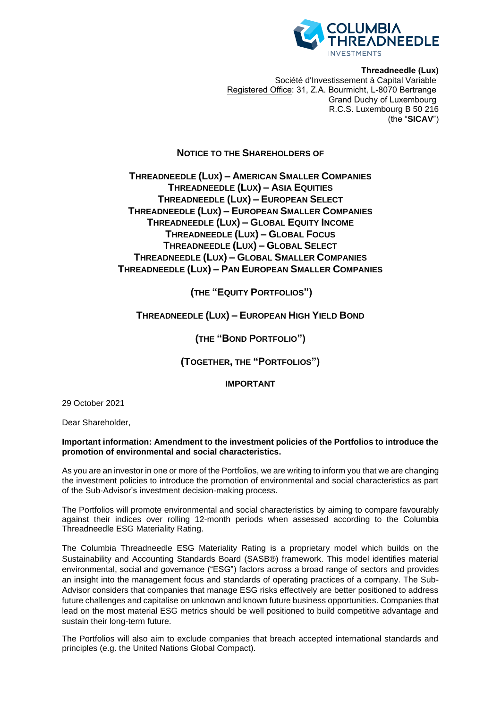

**Threadneedle (Lux)** Société d'Investissement à Capital Variable Registered Office: 31, Z.A. Bourmicht, L-8070 Bertrange Grand Duchy of Luxembourg R.C.S. Luxembourg B 50 216 (the "**SICAV**")

## **NOTICE TO THE SHAREHOLDERS OF**

**THREADNEEDLE (LUX) – AMERICAN SMALLER COMPANIES THREADNEEDLE (LUX) – ASIA EQUITIES THREADNEEDLE (LUX) – EUROPEAN SELECT THREADNEEDLE (LUX) – EUROPEAN SMALLER COMPANIES THREADNEEDLE (LUX) – GLOBAL EQUITY INCOME THREADNEEDLE (LUX) – GLOBAL FOCUS THREADNEEDLE (LUX) – GLOBAL SELECT THREADNEEDLE (LUX) – GLOBAL SMALLER COMPANIES THREADNEEDLE (LUX) – PAN EUROPEAN SMALLER COMPANIES**

# **(THE "EQUITY PORTFOLIOS")**

# **THREADNEEDLE (LUX) – EUROPEAN HIGH YIELD BOND**

**(THE "BOND PORTFOLIO")**

**(TOGETHER, THE "PORTFOLIOS")**

### **IMPORTANT**

29 October 2021

Dear Shareholder,

### **Important information: Amendment to the investment policies of the Portfolios to introduce the promotion of environmental and social characteristics.**

As you are an investor in one or more of the Portfolios, we are writing to inform you that we are changing the investment policies to introduce the promotion of environmental and social characteristics as part of the Sub-Advisor's investment decision-making process.

The Portfolios will promote environmental and social characteristics by aiming to compare favourably against their indices over rolling 12-month periods when assessed according to the Columbia Threadneedle ESG Materiality Rating.

The Columbia Threadneedle ESG Materiality Rating is a proprietary model which builds on the Sustainability and Accounting Standards Board (SASB®) framework. This model identifies material environmental, social and governance ("ESG") factors across a broad range of sectors and provides an insight into the management focus and standards of operating practices of a company. The Sub-Advisor considers that companies that manage ESG risks effectively are better positioned to address future challenges and capitalise on unknown and known future business opportunities. Companies that lead on the most material ESG metrics should be well positioned to build competitive advantage and sustain their long-term future.

The Portfolios will also aim to exclude companies that breach accepted international standards and principles (e.g. the United Nations Global Compact).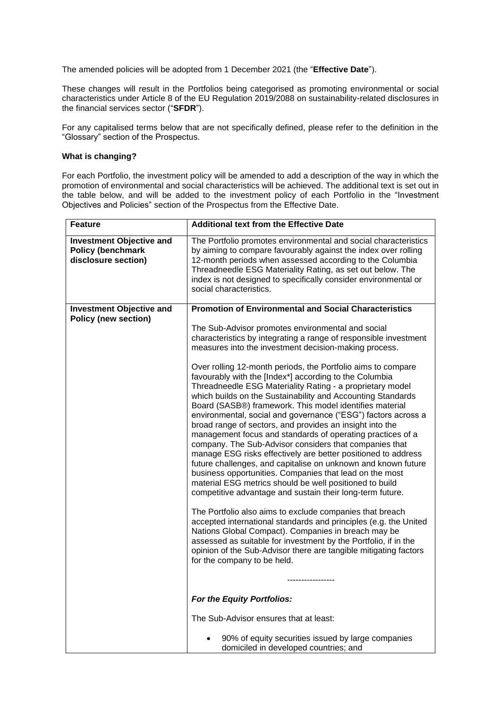The amended policies will be adopted from 1 December 2021 (the "**Effective Date**").

These changes will result in the Portfolios being categorised as promoting environmental or social characteristics under Article 8 of the EU Regulation 2019/2088 on sustainability-related disclosures in the financial services sector ("**SFDR**").

For any capitalised terms below that are not specifically defined, please refer to the definition in the "Glossary" section of the Prospectus.

### **What is changing?**

For each Portfolio, the investment policy will be amended to add a description of the way in which the promotion of environmental and social characteristics will be achieved. The additional text is set out in the table below, and will be added to the investment policy of each Portfolio in the "Investment Objectives and Policies" section of the Prospectus from the Effective Date.

| <b>Feature</b>                                                                     | <b>Additional text from the Effective Date</b>                                                                                                                                                                                                                                                                                                                                                                                                                                                                                                                                                                                                                                                                                                                                                                                                                                                                                                                                                                                                                                                                                                                                                                                                                                                                                                                                                                                         |
|------------------------------------------------------------------------------------|----------------------------------------------------------------------------------------------------------------------------------------------------------------------------------------------------------------------------------------------------------------------------------------------------------------------------------------------------------------------------------------------------------------------------------------------------------------------------------------------------------------------------------------------------------------------------------------------------------------------------------------------------------------------------------------------------------------------------------------------------------------------------------------------------------------------------------------------------------------------------------------------------------------------------------------------------------------------------------------------------------------------------------------------------------------------------------------------------------------------------------------------------------------------------------------------------------------------------------------------------------------------------------------------------------------------------------------------------------------------------------------------------------------------------------------|
| <b>Investment Objective and</b><br><b>Policy (benchmark</b><br>disclosure section) | The Portfolio promotes environmental and social characteristics<br>by aiming to compare favourably against the index over rolling<br>12-month periods when assessed according to the Columbia<br>Threadneedle ESG Materiality Rating, as set out below. The<br>index is not designed to specifically consider environmental or<br>social characteristics.                                                                                                                                                                                                                                                                                                                                                                                                                                                                                                                                                                                                                                                                                                                                                                                                                                                                                                                                                                                                                                                                              |
| <b>Investment Objective and</b>                                                    | <b>Promotion of Environmental and Social Characteristics</b>                                                                                                                                                                                                                                                                                                                                                                                                                                                                                                                                                                                                                                                                                                                                                                                                                                                                                                                                                                                                                                                                                                                                                                                                                                                                                                                                                                           |
| <b>Policy (new section)</b>                                                        | The Sub-Advisor promotes environmental and social<br>characteristics by integrating a range of responsible investment<br>measures into the investment decision-making process.<br>Over rolling 12-month periods, the Portfolio aims to compare<br>favourably with the [Index*] according to the Columbia<br>Threadneedle ESG Materiality Rating - a proprietary model<br>which builds on the Sustainability and Accounting Standards<br>Board (SASB®) framework. This model identifies material<br>environmental, social and governance ("ESG") factors across a<br>broad range of sectors, and provides an insight into the<br>management focus and standards of operating practices of a<br>company. The Sub-Advisor considers that companies that<br>manage ESG risks effectively are better positioned to address<br>future challenges, and capitalise on unknown and known future<br>business opportunities. Companies that lead on the most<br>material ESG metrics should be well positioned to build<br>competitive advantage and sustain their long-term future.<br>The Portfolio also aims to exclude companies that breach<br>accepted international standards and principles (e.g. the United<br>Nations Global Compact). Companies in breach may be<br>assessed as suitable for investment by the Portfolio, if in the<br>opinion of the Sub-Advisor there are tangible mitigating factors<br>for the company to be held. |
|                                                                                    | For the Equity Portfolios:                                                                                                                                                                                                                                                                                                                                                                                                                                                                                                                                                                                                                                                                                                                                                                                                                                                                                                                                                                                                                                                                                                                                                                                                                                                                                                                                                                                                             |
|                                                                                    | The Sub-Advisor ensures that at least:                                                                                                                                                                                                                                                                                                                                                                                                                                                                                                                                                                                                                                                                                                                                                                                                                                                                                                                                                                                                                                                                                                                                                                                                                                                                                                                                                                                                 |
|                                                                                    | 90% of equity securities issued by large companies<br>domiciled in developed countries; and                                                                                                                                                                                                                                                                                                                                                                                                                                                                                                                                                                                                                                                                                                                                                                                                                                                                                                                                                                                                                                                                                                                                                                                                                                                                                                                                            |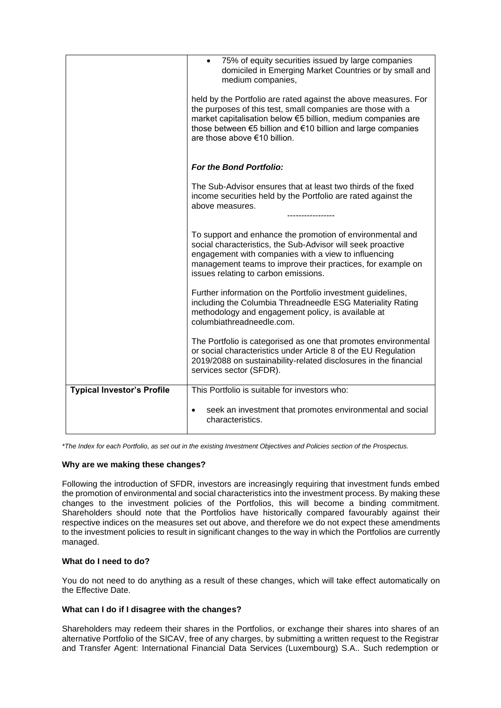|                                   | 75% of equity securities issued by large companies<br>domiciled in Emerging Market Countries or by small and<br>medium companies,                                                                                                                                                              |
|-----------------------------------|------------------------------------------------------------------------------------------------------------------------------------------------------------------------------------------------------------------------------------------------------------------------------------------------|
|                                   | held by the Portfolio are rated against the above measures. For<br>the purposes of this test, small companies are those with a<br>market capitalisation below €5 billion, medium companies are<br>those between €5 billion and €10 billion and large companies<br>are those above €10 billion. |
|                                   | For the Bond Portfolio:                                                                                                                                                                                                                                                                        |
|                                   | The Sub-Advisor ensures that at least two thirds of the fixed<br>income securities held by the Portfolio are rated against the<br>above measures.<br>-----------------                                                                                                                         |
|                                   | To support and enhance the promotion of environmental and<br>social characteristics, the Sub-Advisor will seek proactive<br>engagement with companies with a view to influencing<br>management teams to improve their practices, for example on<br>issues relating to carbon emissions.        |
|                                   | Further information on the Portfolio investment guidelines,<br>including the Columbia Threadneedle ESG Materiality Rating<br>methodology and engagement policy, is available at<br>columbiathreadneedle.com.                                                                                   |
|                                   | The Portfolio is categorised as one that promotes environmental<br>or social characteristics under Article 8 of the EU Regulation<br>2019/2088 on sustainability-related disclosures in the financial<br>services sector (SFDR).                                                               |
| <b>Typical Investor's Profile</b> | This Portfolio is suitable for investors who:                                                                                                                                                                                                                                                  |
|                                   | seek an investment that promotes environmental and social<br>characteristics.                                                                                                                                                                                                                  |

*\*The Index for each Portfolio, as set out in the existing Investment Objectives and Policies section of the Prospectus.*

### **Why are we making these changes?**

Following the introduction of SFDR, investors are increasingly requiring that investment funds embed the promotion of environmental and social characteristics into the investment process. By making these changes to the investment policies of the Portfolios, this will become a binding commitment. Shareholders should note that the Portfolios have historically compared favourably against their respective indices on the measures set out above, and therefore we do not expect these amendments to the investment policies to result in significant changes to the way in which the Portfolios are currently managed.

### **What do I need to do?**

You do not need to do anything as a result of these changes, which will take effect automatically on the Effective Date.

### **What can I do if I disagree with the changes?**

Shareholders may redeem their shares in the Portfolios, or exchange their shares into shares of an alternative Portfolio of the SICAV, free of any charges, by submitting a written request to the Registrar and Transfer Agent: International Financial Data Services (Luxembourg) S.A.. Such redemption or